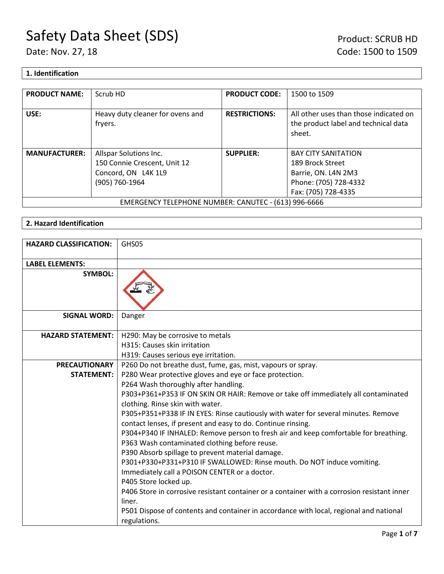## **1. Identification**

| <b>PRODUCT NAME:</b>                                 | Scrub HD                                    | <b>PRODUCT CODE:</b> | 1500 to 1509                                                                             |
|------------------------------------------------------|---------------------------------------------|----------------------|------------------------------------------------------------------------------------------|
| USE:                                                 | Heavy duty cleaner for ovens and<br>fryers. | <b>RESTRICTIONS:</b> | All other uses than those indicated on<br>the product label and technical data<br>sheet. |
| <b>MANUFACTURER:</b>                                 | Allspar Solutions Inc.                      | <b>SUPPLIER:</b>     | <b>BAY CITY SANITATION</b>                                                               |
|                                                      | 150 Connie Crescent, Unit 12                |                      | 189 Brock Street                                                                         |
|                                                      | Concord, ON L4K 1L9                         |                      | Barrie, ON. L4N 2M3                                                                      |
|                                                      | (905) 760-1964                              |                      | Phone: (705) 728-4332                                                                    |
|                                                      |                                             |                      | Fax: (705) 728-4335                                                                      |
| EMERGENCY TELEPHONE NUMBER: CANUTEC - (613) 996-6666 |                                             |                      |                                                                                          |

## **2. Hazard Identification**

| <b>HAZARD CLASSIFICATION:</b> | GHS05                                                                                                                                              |
|-------------------------------|----------------------------------------------------------------------------------------------------------------------------------------------------|
| <b>LABEL ELEMENTS:</b>        |                                                                                                                                                    |
| <b>SYMBOL:</b>                |                                                                                                                                                    |
| <b>SIGNAL WORD:</b>           | Danger                                                                                                                                             |
| <b>HAZARD STATEMENT:</b>      | H290: May be corrosive to metals                                                                                                                   |
|                               | H315: Causes skin irritation                                                                                                                       |
|                               | H319: Causes serious eye irritation.                                                                                                               |
| <b>PRECAUTIONARY</b>          | P260 Do not breathe dust, fume, gas, mist, vapours or spray.                                                                                       |
| <b>STATEMENT:</b>             | P280 Wear protective gloves and eye or face protection.                                                                                            |
|                               | P264 Wash thoroughly after handling.                                                                                                               |
|                               | P303+P361+P353 IF ON SKIN OR HAIR: Remove or take off immediately all contaminated<br>clothing. Rinse skin with water.                             |
|                               | P305+P351+P338 IF IN EYES: Rinse cautiously with water for several minutes. Remove<br>contact lenses, if present and easy to do. Continue rinsing. |
|                               | P304+P340 IF INHALED: Remove person to fresh air and keep comfortable for breathing.                                                               |
|                               | P363 Wash contaminated clothing before reuse.                                                                                                      |
|                               | P390 Absorb spillage to prevent material damage.                                                                                                   |
|                               | P301+P330+P331+P310 IF SWALLOWED: Rinse mouth. Do NOT induce vomiting.                                                                             |
|                               | Immediately call a POISON CENTER or a doctor.                                                                                                      |
|                               | P405 Store locked up.                                                                                                                              |
|                               | P406 Store in corrosive resistant container or a container with a corrosion resistant inner<br>liner.                                              |
|                               | P501 Dispose of contents and container in accordance with local, regional and national<br>regulations.                                             |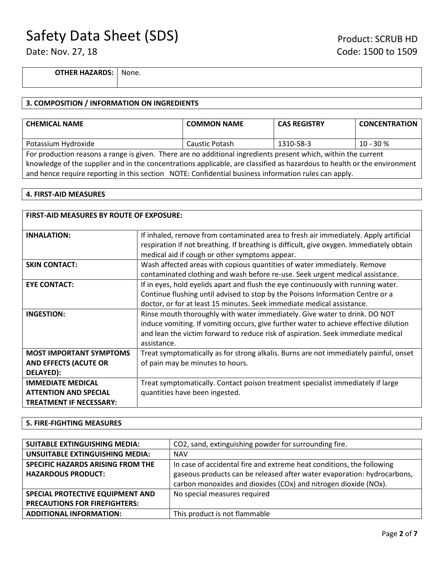**OTHER HAZARDS:** None.

#### **3. COMPOSITION / INFORMATION ON INGREDIENTS**

| <b>CHEMICAL NAME</b>                                                                                                     | <b>COMMON NAME</b> | <b>CAS REGISTRY</b> | <b>CONCENTRATION</b> |
|--------------------------------------------------------------------------------------------------------------------------|--------------------|---------------------|----------------------|
|                                                                                                                          |                    |                     |                      |
| Potassium Hydroxide                                                                                                      | Caustic Potash     | 1310-58-3           | $10 - 30 %$          |
| For production reasons a range is given. There are no additional ingredients present which, within the current           |                    |                     |                      |
| knowledge of the supplier and in the concentrations applicable, are classified as hazardous to health or the environment |                    |                     |                      |
| and hence require reporting in this section NOTE: Confidential business information rules can apply.                     |                    |                     |                      |

#### **4. FIRST-AID MEASURES**

| <b>FIRST-AID MEASURES BY ROUTE OF EXPOSURE:</b>                                            |                                                                                                                                                                                                                                                                        |  |
|--------------------------------------------------------------------------------------------|------------------------------------------------------------------------------------------------------------------------------------------------------------------------------------------------------------------------------------------------------------------------|--|
| <b>INHALATION:</b>                                                                         | If inhaled, remove from contaminated area to fresh air immediately. Apply artificial<br>respiration if not breathing. If breathing is difficult, give oxygen. Immediately obtain<br>medical aid if cough or other symptoms appear.                                     |  |
| <b>SKIN CONTACT:</b>                                                                       | Wash affected areas with copious quantities of water immediately. Remove<br>contaminated clothing and wash before re-use. Seek urgent medical assistance.                                                                                                              |  |
| <b>EYE CONTACT:</b>                                                                        | If in eyes, hold eyelids apart and flush the eye continuously with running water.<br>Continue flushing until advised to stop by the Poisons Information Centre or a<br>doctor, or for at least 15 minutes. Seek immediate medical assistance.                          |  |
| <b>INGESTION:</b>                                                                          | Rinse mouth thoroughly with water immediately. Give water to drink. DO NOT<br>induce vomiting. If vomiting occurs, give further water to achieve effective dilution<br>and lean the victim forward to reduce risk of aspiration. Seek immediate medical<br>assistance. |  |
| <b>MOST IMPORTANT SYMPTOMS</b><br><b>AND EFFECTS (ACUTE OR</b><br>DELAYED):                | Treat symptomatically as for strong alkalis. Burns are not immediately painful, onset<br>of pain may be minutes to hours.                                                                                                                                              |  |
| <b>IMMEDIATE MEDICAL</b><br><b>ATTENTION AND SPECIAL</b><br><b>TREATMENT IF NECESSARY:</b> | Treat symptomatically. Contact poison treatment specialist immediately if large<br>quantities have been ingested.                                                                                                                                                      |  |

#### **5. FIRE-FIGHTING MEASURES**

| <b>SUITABLE EXTINGUISHING MEDIA:</b>   | CO2, sand, extinguishing powder for surrounding fire.                   |
|----------------------------------------|-------------------------------------------------------------------------|
| <b>UNSUITABLE EXTINGUISHING MEDIA:</b> | <b>NAV</b>                                                              |
| SPECIFIC HAZARDS ARISING FROM THE      | In case of accidental fire and extreme heat conditions, the following   |
| <b>HAZARDOUS PRODUCT:</b>              | gaseous products can be released after water evaporation: hydrocarbons, |
|                                        | carbon monoxides and dioxides (COx) and nitrogen dioxide (NOx).         |
| SPECIAL PROTECTIVE EQUIPMENT AND       | No special measures required                                            |
| <b>PRECAUTIONS FOR FIREFIGHTERS:</b>   |                                                                         |
| <b>ADDITIONAL INFORMATION:</b>         | This product is not flammable                                           |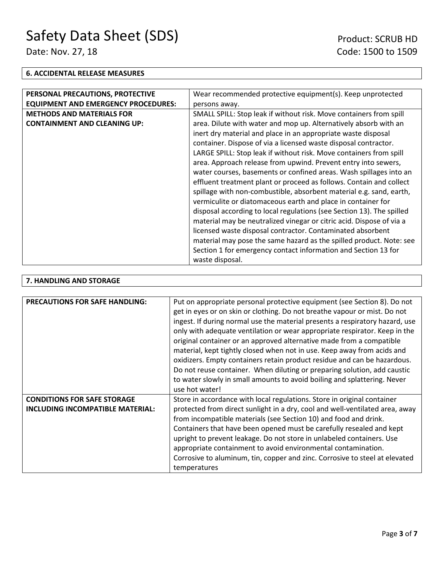## **6. ACCIDENTAL RELEASE MEASURES**

| PERSONAL PRECAUTIONS, PROTECTIVE           | Wear recommended protective equipment(s). Keep unprotected            |
|--------------------------------------------|-----------------------------------------------------------------------|
| <b>EQUIPMENT AND EMERGENCY PROCEDURES:</b> | persons away.                                                         |
| <b>METHODS AND MATERIALS FOR</b>           | SMALL SPILL: Stop leak if without risk. Move containers from spill    |
| <b>CONTAINMENT AND CLEANING UP:</b>        | area. Dilute with water and mop up. Alternatively absorb with an      |
|                                            | inert dry material and place in an appropriate waste disposal         |
|                                            | container. Dispose of via a licensed waste disposal contractor.       |
|                                            | LARGE SPILL: Stop leak if without risk. Move containers from spill    |
|                                            | area. Approach release from upwind. Prevent entry into sewers,        |
|                                            | water courses, basements or confined areas. Wash spillages into an    |
|                                            | effluent treatment plant or proceed as follows. Contain and collect   |
|                                            | spillage with non-combustible, absorbent material e.g. sand, earth,   |
|                                            | vermiculite or diatomaceous earth and place in container for          |
|                                            | disposal according to local regulations (see Section 13). The spilled |
|                                            | material may be neutralized vinegar or citric acid. Dispose of via a  |
|                                            | licensed waste disposal contractor. Contaminated absorbent            |
|                                            | material may pose the same hazard as the spilled product. Note: see   |
|                                            | Section 1 for emergency contact information and Section 13 for        |
|                                            | waste disposal.                                                       |

## **7. HANDLING AND STORAGE**

| <b>PRECAUTIONS FOR SAFE HANDLING:</b> | Put on appropriate personal protective equipment (see Section 8). Do not<br>get in eyes or on skin or clothing. Do not breathe vapour or mist. Do not<br>ingest. If during normal use the material presents a respiratory hazard, use<br>only with adequate ventilation or wear appropriate respirator. Keep in the<br>original container or an approved alternative made from a compatible<br>material, kept tightly closed when not in use. Keep away from acids and<br>oxidizers. Empty containers retain product residue and can be hazardous.<br>Do not reuse container. When diluting or preparing solution, add caustic<br>to water slowly in small amounts to avoid boiling and splattering. Never<br>use hot water! |
|---------------------------------------|------------------------------------------------------------------------------------------------------------------------------------------------------------------------------------------------------------------------------------------------------------------------------------------------------------------------------------------------------------------------------------------------------------------------------------------------------------------------------------------------------------------------------------------------------------------------------------------------------------------------------------------------------------------------------------------------------------------------------|
| <b>CONDITIONS FOR SAFE STORAGE</b>    | Store in accordance with local regulations. Store in original container                                                                                                                                                                                                                                                                                                                                                                                                                                                                                                                                                                                                                                                      |
| INCLUDING INCOMPATIBLE MATERIAL:      | protected from direct sunlight in a dry, cool and well-ventilated area, away<br>from incompatible materials (see Section 10) and food and drink.<br>Containers that have been opened must be carefully resealed and kept<br>upright to prevent leakage. Do not store in unlabeled containers. Use<br>appropriate containment to avoid environmental contamination.<br>Corrosive to aluminum, tin, copper and zinc. Corrosive to steel at elevated<br>temperatures                                                                                                                                                                                                                                                            |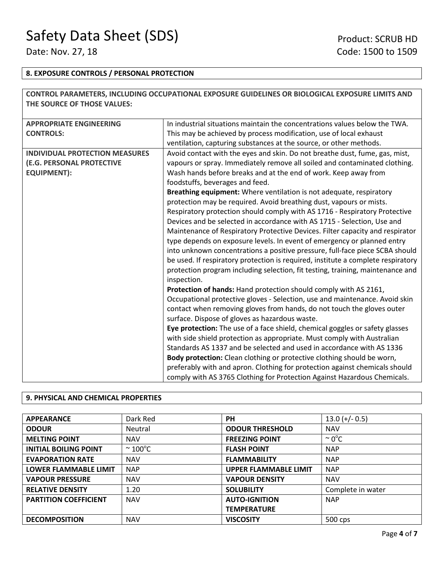г

## **8. EXPOSURE CONTROLS / PERSONAL PROTECTION**

|                                       | CONTROL PARAMETERS, INCLUDING OCCUPATIONAL EXPOSURE GUIDELINES OR BIOLOGICAL EXPOSURE LIMITS AND |
|---------------------------------------|--------------------------------------------------------------------------------------------------|
| THE SOURCE OF THOSE VALUES:           |                                                                                                  |
|                                       |                                                                                                  |
| <b>APPROPRIATE ENGINEERING</b>        | In industrial situations maintain the concentrations values below the TWA.                       |
| <b>CONTROLS:</b>                      | This may be achieved by process modification, use of local exhaust                               |
|                                       | ventilation, capturing substances at the source, or other methods.                               |
| <b>INDIVIDUAL PROTECTION MEASURES</b> | Avoid contact with the eyes and skin. Do not breathe dust, fume, gas, mist,                      |
| (E.G. PERSONAL PROTECTIVE             | vapours or spray. Immediately remove all soiled and contaminated clothing.                       |
| <b>EQUIPMENT):</b>                    | Wash hands before breaks and at the end of work. Keep away from                                  |
| foodstuffs, beverages and feed.       |                                                                                                  |
|                                       | Breathing equipment: Where ventilation is not adequate, respiratory                              |
|                                       | protection may be required. Avoid breathing dust, vapours or mists.                              |
|                                       | Respiratory protection should comply with AS 1716 - Respiratory Protective                       |
|                                       | Devices and be selected in accordance with AS 1715 - Selection, Use and                          |
|                                       | Maintenance of Respiratory Protective Devices. Filter capacity and respirator                    |
|                                       | type depends on exposure levels. In event of emergency or planned entry                          |
|                                       | into unknown concentrations a positive pressure, full-face piece SCBA should                     |
|                                       | be used. If respiratory protection is required, institute a complete respiratory                 |
|                                       | protection program including selection, fit testing, training, maintenance and                   |
|                                       | inspection.                                                                                      |
|                                       | Protection of hands: Hand protection should comply with AS 2161,                                 |
|                                       | Occupational protective gloves - Selection, use and maintenance. Avoid skin                      |
|                                       | contact when removing gloves from hands, do not touch the gloves outer                           |
|                                       | surface. Dispose of gloves as hazardous waste.                                                   |
|                                       | Eye protection: The use of a face shield, chemical goggles or safety glasses                     |
|                                       | with side shield protection as appropriate. Must comply with Australian                          |
|                                       | Standards AS 1337 and be selected and used in accordance with AS 1336                            |
|                                       | Body protection: Clean clothing or protective clothing should be worn,                           |
|                                       | preferably with and apron. Clothing for protection against chemicals should                      |
|                                       | comply with AS 3765 Clothing for Protection Against Hazardous Chemicals.                         |

## **9. PHYSICAL AND CHEMICAL PROPERTIES**

| <b>APPEARANCE</b>            | Dark Red             | <b>PH</b>                    | $13.0 (+/- 0.5)$   |
|------------------------------|----------------------|------------------------------|--------------------|
| <b>ODOUR</b>                 | Neutral              | <b>ODOUR THRESHOLD</b>       | <b>NAV</b>         |
| <b>MELTING POINT</b>         | <b>NAV</b>           | <b>FREEZING POINT</b>        | $\sim 0^{\circ}$ C |
| <b>INITIAL BOILING POINT</b> | $\sim 100^{\circ}$ C | <b>FLASH POINT</b>           | <b>NAP</b>         |
| <b>EVAPORATION RATE</b>      | <b>NAV</b>           | <b>FLAMMABILITY</b>          | <b>NAP</b>         |
| <b>LOWER FLAMMABLE LIMIT</b> | <b>NAP</b>           | <b>UPPER FLAMMABLE LIMIT</b> | <b>NAP</b>         |
| <b>VAPOUR PRESSURE</b>       | <b>NAV</b>           | <b>VAPOUR DENSITY</b>        | <b>NAV</b>         |
| <b>RELATIVE DENSITY</b>      | 1.20                 | <b>SOLUBILITY</b>            | Complete in water  |
| <b>PARTITION COEFFICIENT</b> | <b>NAV</b>           | <b>AUTO-IGNITION</b>         | <b>NAP</b>         |
|                              |                      | <b>TEMPERATURE</b>           |                    |
| <b>DECOMPOSITION</b>         | <b>NAV</b>           | <b>VISCOSITY</b>             | 500 cps            |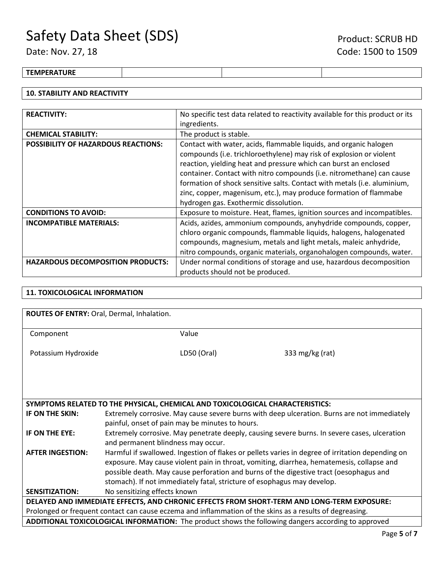## **TEMPERATURE**

## **10. STABILITY AND REACTIVITY**

| <b>REACTIVITY:</b>                                                                                              | No specific test data related to reactivity available for this product or its |
|-----------------------------------------------------------------------------------------------------------------|-------------------------------------------------------------------------------|
|                                                                                                                 | ingredients.                                                                  |
| <b>CHEMICAL STABILITY:</b>                                                                                      | The product is stable.                                                        |
| Contact with water, acids, flammable liquids, and organic halogen<br><b>POSSIBILITY OF HAZARDOUS REACTIONS:</b> |                                                                               |
|                                                                                                                 | compounds (i.e. trichloroethylene) may risk of explosion or violent           |
|                                                                                                                 | reaction, yielding heat and pressure which can burst an enclosed              |
|                                                                                                                 | container. Contact with nitro compounds (i.e. nitromethane) can cause         |
|                                                                                                                 | formation of shock sensitive salts. Contact with metals (i.e. aluminium,      |
|                                                                                                                 | zinc, copper, magenisum, etc.), may produce formation of flammabe             |
|                                                                                                                 | hydrogen gas. Exothermic dissolution.                                         |
| <b>CONDITIONS TO AVOID:</b>                                                                                     | Exposure to moisture. Heat, flames, ignition sources and incompatibles.       |
| <b>INCOMPATIBLE MATERIALS:</b>                                                                                  | Acids, azides, ammonium compounds, anyhydride compounds, copper,              |
|                                                                                                                 | chloro organic compounds, flammable liquids, halogens, halogenated            |
|                                                                                                                 | compounds, magnesium, metals and light metals, maleic anhydride,              |
|                                                                                                                 | nitro compounds, organic materials, organohalogen compounds, water.           |
| <b>HAZARDOUS DECOMPOSITION PRODUCTS:</b>                                                                        | Under normal conditions of storage and use, hazardous decomposition           |
|                                                                                                                 | products should not be produced.                                              |

### **11. TOXICOLOGICAL INFORMATION**

| ROUTES OF ENTRY: Oral, Dermal, Inhalation. |                                                                                                          |                                                                                                            |  |
|--------------------------------------------|----------------------------------------------------------------------------------------------------------|------------------------------------------------------------------------------------------------------------|--|
|                                            |                                                                                                          |                                                                                                            |  |
| Component                                  | Value                                                                                                    |                                                                                                            |  |
|                                            |                                                                                                          |                                                                                                            |  |
| Potassium Hydroxide                        | LD50 (Oral)                                                                                              | 333 mg/kg (rat)                                                                                            |  |
|                                            |                                                                                                          |                                                                                                            |  |
|                                            |                                                                                                          |                                                                                                            |  |
|                                            |                                                                                                          |                                                                                                            |  |
|                                            |                                                                                                          |                                                                                                            |  |
|                                            |                                                                                                          |                                                                                                            |  |
|                                            | SYMPTOMS RELATED TO THE PHYSICAL, CHEMICAL AND TOXICOLOGICAL CHARACTERISTICS:                            |                                                                                                            |  |
| IF ON THE SKIN:                            |                                                                                                          | Extremely corrosive. May cause severe burns with deep ulceration. Burns are not immediately                |  |
|                                            | painful, onset of pain may be minutes to hours.                                                          |                                                                                                            |  |
| IF ON THE EYE:                             | Extremely corrosive. May penetrate deeply, causing severe burns. In severe cases, ulceration             |                                                                                                            |  |
|                                            | and permanent blindness may occur.                                                                       |                                                                                                            |  |
|                                            |                                                                                                          |                                                                                                            |  |
| <b>AFTER INGESTION:</b>                    | Harmful if swallowed. Ingestion of flakes or pellets varies in degree of irritation depending on         |                                                                                                            |  |
|                                            | exposure. May cause violent pain in throat, vomiting, diarrhea, hematemesis, collapse and                |                                                                                                            |  |
|                                            | possible death. May cause perforation and burns of the digestive tract (oesophagus and                   |                                                                                                            |  |
|                                            | stomach). If not immediately fatal, stricture of esophagus may develop.                                  |                                                                                                            |  |
| <b>SENSITIZATION:</b>                      | No sensitizing effects known                                                                             |                                                                                                            |  |
|                                            |                                                                                                          | DELAYED AND IMMEDIATE EFFECTS, AND CHRONIC EFFECTS FROM SHORT-TERM AND LONG-TERM EXPOSURE:                 |  |
|                                            | Prolonged or frequent contact can cause eczema and inflammation of the skins as a results of degreasing. |                                                                                                            |  |
|                                            |                                                                                                          | <b>ADDITIONAL TOXICOLOGICAL INFORMATION:</b> The product shows the following dangers according to approved |  |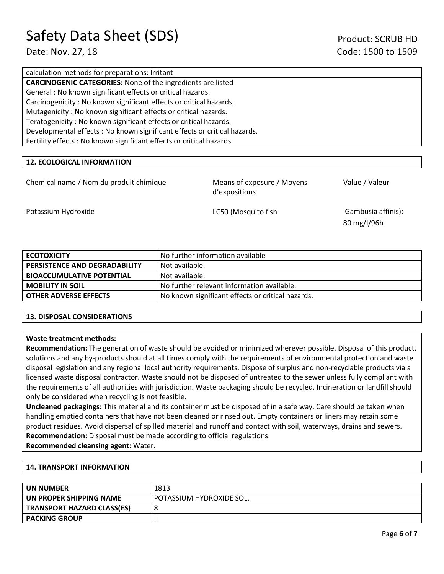calculation methods for preparations: Irritant **CARCINOGENIC CATEGORIES:** None of the ingredients are listed General : No known significant effects or critical hazards. Carcinogenicity : No known significant effects or critical hazards. Mutagenicity : No known significant effects or critical hazards. Teratogenicity : No known significant effects or critical hazards. Developmental effects : No known significant effects or critical hazards. Fertility effects : No known significant effects or critical hazards.

## **12. ECOLOGICAL INFORMATION**

| Chemical name / Nom du produit chimique | Means of exposure / Moyens<br>d'expositions |
|-----------------------------------------|---------------------------------------------|
|                                         |                                             |

Value / Valeur

Potassium Hydroxide **LC50** (Mosquito fish Gambusia affinis):

80 mg/l/96h

| <b>ECOTOXICITY</b>               | No further information available                  |  |
|----------------------------------|---------------------------------------------------|--|
| PERSISTENCE AND DEGRADABILITY    | Not available.                                    |  |
| <b>BIOACCUMULATIVE POTENTIAL</b> | Not available.                                    |  |
| <b>MOBILITY IN SOIL</b>          | No further relevant information available.        |  |
| <b>OTHER ADVERSE EFFECTS</b>     | No known significant effects or critical hazards. |  |

### **13. DISPOSAL CONSIDERATIONS**

### **Waste treatment methods:**

**Recommendation:** The generation of waste should be avoided or minimized wherever possible. Disposal of this product, solutions and any by-products should at all times comply with the requirements of environmental protection and waste disposal legislation and any regional local authority requirements. Dispose of surplus and non-recyclable products via a licensed waste disposal contractor. Waste should not be disposed of untreated to the sewer unless fully compliant with the requirements of all authorities with jurisdiction. Waste packaging should be recycled. Incineration or landfill should only be considered when recycling is not feasible.

**Uncleaned packagings:** This material and its container must be disposed of in a safe way. Care should be taken when handling emptied containers that have not been cleaned or rinsed out. Empty containers or liners may retain some product residues. Avoid dispersal of spilled material and runoff and contact with soil, waterways, drains and sewers. **Recommendation:** Disposal must be made according to official regulations.

**Recommended cleansing agent:** Water.

### **14. TRANSPORT INFORMATION**

| UN NUMBER                         | 1813                     |
|-----------------------------------|--------------------------|
| UN PROPER SHIPPING NAME           | POTASSIUM HYDROXIDE SOL. |
| <b>TRANSPORT HAZARD CLASS(ES)</b> |                          |
| <b>PACKING GROUP</b>              |                          |